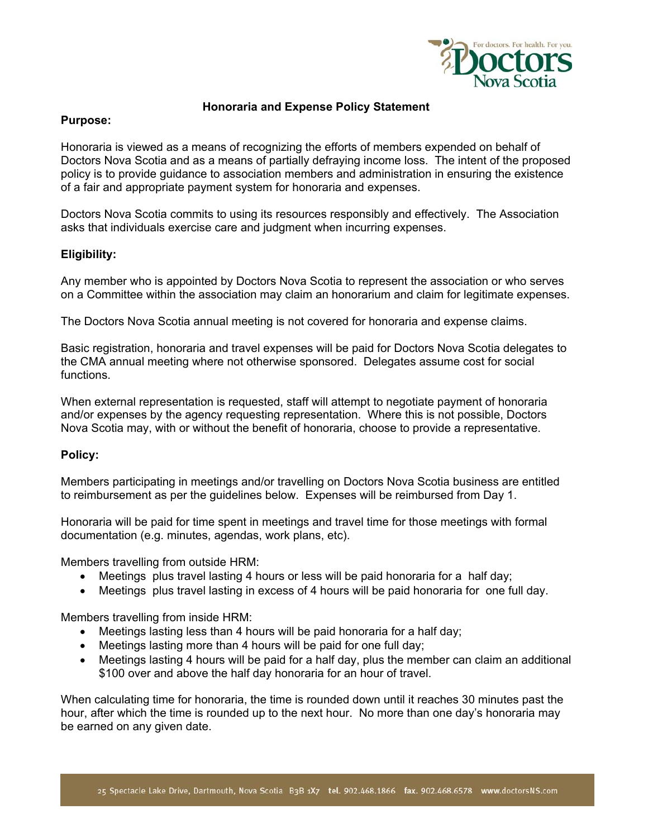

## **Honoraria and Expense Policy Statement**

### **Purpose:**

Honoraria is viewed as a means of recognizing the efforts of members expended on behalf of Doctors Nova Scotia and as a means of partially defraying income loss. The intent of the proposed policy is to provide guidance to association members and administration in ensuring the existence of a fair and appropriate payment system for honoraria and expenses.

Doctors Nova Scotia commits to using its resources responsibly and effectively. The Association asks that individuals exercise care and judgment when incurring expenses.

## **Eligibility:**

Any member who is appointed by Doctors Nova Scotia to represent the association or who serves on a Committee within the association may claim an honorarium and claim for legitimate expenses.

The Doctors Nova Scotia annual meeting is not covered for honoraria and expense claims.

Basic registration, honoraria and travel expenses will be paid for Doctors Nova Scotia delegates to the CMA annual meeting where not otherwise sponsored. Delegates assume cost for social functions.

When external representation is requested, staff will attempt to negotiate payment of honoraria and/or expenses by the agency requesting representation. Where this is not possible, Doctors Nova Scotia may, with or without the benefit of honoraria, choose to provide a representative.

# **Policy:**

Members participating in meetings and/or travelling on Doctors Nova Scotia business are entitled to reimbursement as per the guidelines below. Expenses will be reimbursed from Day 1.

Honoraria will be paid for time spent in meetings and travel time for those meetings with formal documentation (e.g. minutes, agendas, work plans, etc).

Members travelling from outside HRM:

- Meetings plus travel lasting 4 hours or less will be paid honoraria for a half day;
- Meetings plus travel lasting in excess of 4 hours will be paid honoraria for one full day.

Members travelling from inside HRM:

- Meetings lasting less than 4 hours will be paid honoraria for a half day;
- Meetings lasting more than 4 hours will be paid for one full day;
- Meetings lasting 4 hours will be paid for a half day, plus the member can claim an additional \$100 over and above the half day honoraria for an hour of travel.

When calculating time for honoraria, the time is rounded down until it reaches 30 minutes past the hour, after which the time is rounded up to the next hour. No more than one day's honoraria may be earned on any given date.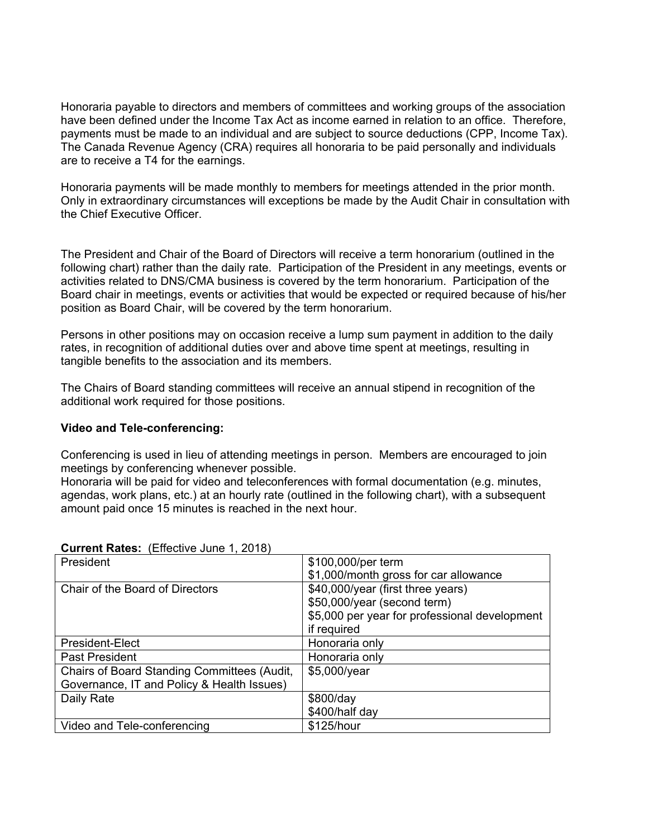Honoraria payable to directors and members of committees and working groups of the association have been defined under the Income Tax Act as income earned in relation to an office. Therefore, payments must be made to an individual and are subject to source deductions (CPP, Income Tax). The Canada Revenue Agency (CRA) requires all honoraria to be paid personally and individuals are to receive a T4 for the earnings.

Honoraria payments will be made monthly to members for meetings attended in the prior month. Only in extraordinary circumstances will exceptions be made by the Audit Chair in consultation with the Chief Executive Officer.

The President and Chair of the Board of Directors will receive a term honorarium (outlined in the following chart) rather than the daily rate. Participation of the President in any meetings, events or activities related to DNS/CMA business is covered by the term honorarium. Participation of the Board chair in meetings, events or activities that would be expected or required because of his/her position as Board Chair, will be covered by the term honorarium.

Persons in other positions may on occasion receive a lump sum payment in addition to the daily rates, in recognition of additional duties over and above time spent at meetings, resulting in tangible benefits to the association and its members.

The Chairs of Board standing committees will receive an annual stipend in recognition of the additional work required for those positions.

### **Video and Tele-conferencing:**

Conferencing is used in lieu of attending meetings in person. Members are encouraged to join meetings by conferencing whenever possible.

Honoraria will be paid for video and teleconferences with formal documentation (e.g. minutes, agendas, work plans, etc.) at an hourly rate (outlined in the following chart), with a subsequent amount paid once 15 minutes is reached in the next hour.

| President                                   | \$100,000/per term                            |
|---------------------------------------------|-----------------------------------------------|
|                                             | \$1,000/month gross for car allowance         |
| Chair of the Board of Directors             | \$40,000/year (first three years)             |
|                                             | \$50,000/year (second term)                   |
|                                             | \$5,000 per year for professional development |
|                                             | if required                                   |
| <b>President-Elect</b>                      | Honoraria only                                |
| <b>Past President</b>                       | Honoraria only                                |
| Chairs of Board Standing Committees (Audit, | \$5,000/year                                  |
| Governance, IT and Policy & Health Issues)  |                                               |
| Daily Rate                                  | \$800/day                                     |
|                                             | \$400/half day                                |
| Video and Tele-conferencing                 | \$125/hour                                    |

### **Current Rates:** (Effective June 1, 2018)